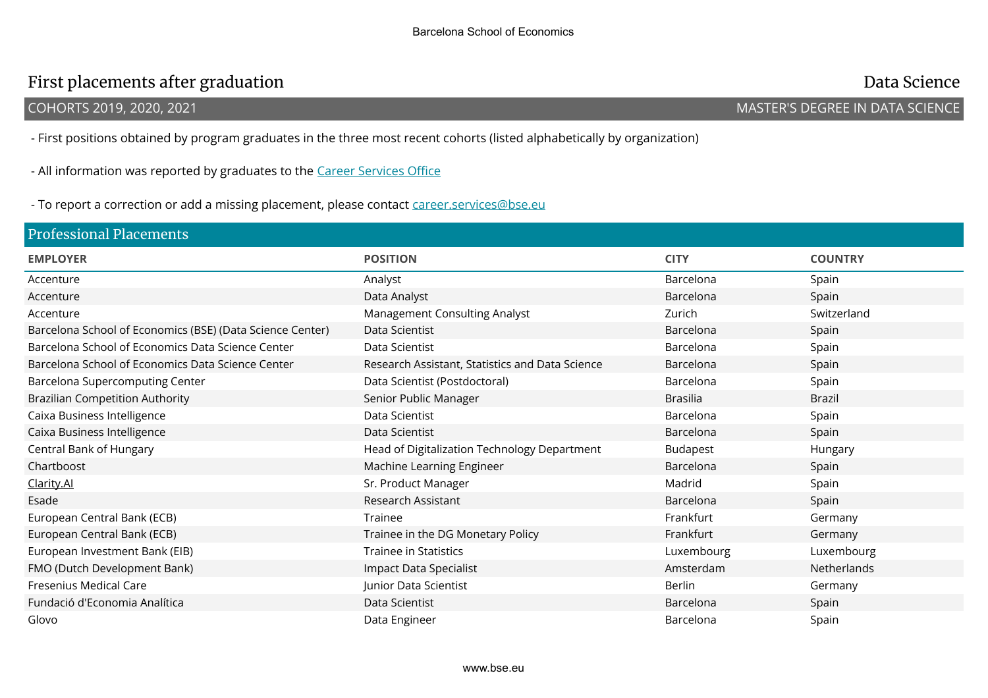## First placements after graduation and the state of the control of the control of the Data Science Data Science

COHORTS 2019, 2020, 2021 MASTER'S DEGREE IN DATA SCIENCE

- First positions obtained by program graduates in the three most recent cohorts (listed alphabetically by organization)

- All information was reported by graduates to the Career Services Office

- To report a correction or add a missing placement, please contact career.services@bse.eu

| <b>Professional Placements</b>                            |                                                 |                 |                |  |  |
|-----------------------------------------------------------|-------------------------------------------------|-----------------|----------------|--|--|
| <b>EMPLOYER</b>                                           | <b>POSITION</b>                                 | <b>CITY</b>     | <b>COUNTRY</b> |  |  |
| Accenture                                                 | Analyst                                         | Barcelona       | Spain          |  |  |
| Accenture                                                 | Data Analyst                                    | Barcelona       | Spain          |  |  |
| Accenture                                                 | <b>Management Consulting Analyst</b>            | Zurich          | Switzerland    |  |  |
| Barcelona School of Economics (BSE) (Data Science Center) | Data Scientist                                  | Barcelona       | Spain          |  |  |
| Barcelona School of Economics Data Science Center         | Data Scientist                                  | Barcelona       | Spain          |  |  |
| Barcelona School of Economics Data Science Center         | Research Assistant, Statistics and Data Science | Barcelona       | Spain          |  |  |
| Barcelona Supercomputing Center                           | Data Scientist (Postdoctoral)                   | Barcelona       | Spain          |  |  |
| <b>Brazilian Competition Authority</b>                    | Senior Public Manager                           | <b>Brasilia</b> | <b>Brazil</b>  |  |  |
| Caixa Business Intelligence                               | Data Scientist                                  | Barcelona       | Spain          |  |  |
| Caixa Business Intelligence                               | Data Scientist                                  | Barcelona       | Spain          |  |  |
| Central Bank of Hungary                                   | Head of Digitalization Technology Department    | <b>Budapest</b> | Hungary        |  |  |
| Chartboost                                                | Machine Learning Engineer                       | Barcelona       | Spain          |  |  |
| Clarity.Al                                                | Sr. Product Manager                             | Madrid          | Spain          |  |  |
| Esade                                                     | Research Assistant                              | Barcelona       | Spain          |  |  |
| European Central Bank (ECB)                               | Trainee                                         | Frankfurt       | Germany        |  |  |
| European Central Bank (ECB)                               | Trainee in the DG Monetary Policy               | Frankfurt       | Germany        |  |  |
| European Investment Bank (EIB)                            | <b>Trainee in Statistics</b>                    | Luxembourg      | Luxembourg     |  |  |
| FMO (Dutch Development Bank)                              | Impact Data Specialist                          | Amsterdam       | Netherlands    |  |  |
| Fresenius Medical Care                                    | Junior Data Scientist                           | Berlin          | Germany        |  |  |
| Fundació d'Economia Analítica                             | Data Scientist                                  | Barcelona       | Spain          |  |  |
| Glovo                                                     | Data Engineer                                   | Barcelona       | Spain          |  |  |